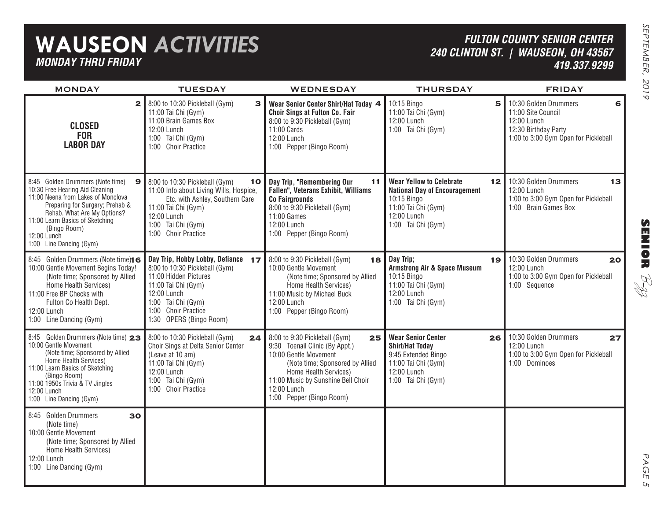## **WAUSEON** *ACTIVITIES MONDAY THRU FRIDAY*

### *FULTON COUNTY SENIOR CENTER240 CLINTON ST. | WAUSEON, OH 43567 419.337.9299*

| <b>MONDAY</b>                                                                                                                                                                                                                                                                            | <b>TUESDAY</b>                                                                                                                                                                                              | WEDNESDAY                                                                                                                                                                                                                                   | <b>THURSDAY</b>                                                                                                                                          | <b>FRIDAY</b>                                                                                                                   |
|------------------------------------------------------------------------------------------------------------------------------------------------------------------------------------------------------------------------------------------------------------------------------------------|-------------------------------------------------------------------------------------------------------------------------------------------------------------------------------------------------------------|---------------------------------------------------------------------------------------------------------------------------------------------------------------------------------------------------------------------------------------------|----------------------------------------------------------------------------------------------------------------------------------------------------------|---------------------------------------------------------------------------------------------------------------------------------|
| $\mathbf{z}$<br><b>CLOSED</b><br><b>FOR</b><br><b>LABOR DAY</b>                                                                                                                                                                                                                          | 8:00 to 10:30 Pickleball (Gym)<br>3 <sup>1</sup><br>11:00 Tai Chi (Gym)<br>11:00 Brain Games Box<br>12:00 Lunch<br>1:00 Tai Chi (Gym)<br>1:00 Choir Practice                                                | Wear Senior Center Shirt/Hat Today 4<br>Choir Sings at Fulton Co. Fair<br>8:00 to 9:30 Pickleball (Gym)<br>11:00 Cards<br>12:00 Lunch<br>1:00 Pepper (Bingo Room)                                                                           | 10:15 Bingo<br>5<br>11:00 Tai Chi (Gym)<br>12:00 Lunch<br>1:00 Tai Chi (Gym)                                                                             | 10:30 Golden Drummers<br>6<br>11:00 Site Council<br>12:00 Lunch<br>12:30 Birthday Party<br>1:00 to 3:00 Gym Open for Pickleball |
| 8:45 Golden Drummers (Note time)<br>$\mathbf{9}$<br>10:30 Free Hearing Aid Cleaning<br>11:00 Neena from Lakes of Monclova<br>Preparing for Surgery; Prehab &<br>Rehab. What Are My Options?<br>11:00 Learn Basics of Sketching<br>(Bingo Room)<br>12:00 Lunch<br>1:00 Line Dancing (Gym) | 8:00 to 10:30 Pickleball (Gym)<br>10<br>11:00 Info about Living Wills, Hospice,<br>Etc. with Ashley, Southern Care<br>11:00 Tai Chi (Gym)<br>12:00 Lunch<br>1:00 Tai Chi (Gym)<br>1:00 Choir Practice       | Day Trip, "Remembering Our<br>11<br>Fallen", Veterans Exhibit, Williams<br><b>Co Fairgrounds</b><br>8:00 to 9:30 Pickleball (Gym)<br>11:00 Games<br>12:00 Lunch<br>1:00 Pepper (Bingo Room)                                                 | <b>Wear Yellow to Celebrate</b><br>12<br><b>National Day of Encouragement</b><br>10:15 Bingo<br>11:00 Tai Chi (Gym)<br>12:00 Lunch<br>1:00 Tai Chi (Gym) | 10:30 Golden Drummers<br>13<br>12:00 Lunch<br>1:00 to 3:00 Gym Open for Pickleball<br>1:00 Brain Games Box                      |
| 8:45 Golden Drummers (Note time)16<br>10:00 Gentle Movement Begins Today!<br>(Note time; Sponsored by Allied<br>Home Health Services)<br>11:00 Free BP Checks with<br>Fulton Co Health Dept.<br>12:00 Lunch<br>1:00 Line Dancing (Gym)                                                   | Day Trip, Hobby Lobby, Defiance 17<br>8:00 to 10:30 Pickleball (Gym)<br>11:00 Hidden Pictures<br>11:00 Tai Chi (Gym)<br>12:00 Lunch<br>1:00 Tai Chi (Gym)<br>1:00 Choir Practice<br>1:30 OPERS (Bingo Room) | 8:00 to 9:30 Pickleball (Gym)<br>18<br>10:00 Gentle Movement<br>(Note time; Sponsored by Allied<br>Home Health Services)<br>11:00 Music by Michael Buck<br>12:00 Lunch<br>1:00 Pepper (Bingo Room)                                          | Day Trip;<br>19<br><b>Armstrong Air &amp; Space Museum</b><br>10:15 Bingo<br>11:00 Tai Chi (Gym)<br>12:00 Lunch<br>1:00 Tai Chi (Gym)                    | 10:30 Golden Drummers<br>20<br>12:00 Lunch<br>1:00 to 3:00 Gym Open for Pickleball<br>1:00 Sequence                             |
| 8:45 Golden Drummers (Note time) 23<br>10:00 Gentle Movement<br>(Note time; Sponsored by Allied<br>Home Health Services)<br>11:00 Learn Basics of Sketching<br>(Bingo Room)<br>11:00 1950s Trivia & TV Jingles<br>12:00 Lunch<br>1:00 Line Dancing (Gym)                                 | 8:00 to 10:30 Pickleball (Gym)<br>24<br>Choir Sings at Delta Senior Center<br>(Leave at 10 am)<br>11:00 Tai Chi (Gym)<br>12:00 Lunch<br>1:00 Tai Chi (Gym)<br>1:00 Choir Practice                           | 8:00 to 9:30 Pickleball (Gym)<br>25<br>9:30 Toenail Clinic (By Appt.)<br>10:00 Gentle Movement<br>(Note time; Sponsored by Allied<br>Home Health Services)<br>11:00 Music by Sunshine Bell Choir<br>12:00 Lunch<br>1:00 Pepper (Bingo Room) | <b>Wear Senior Center</b><br>26<br><b>Shirt/Hat Today</b><br>9:45 Extended Bingo<br>11:00 Tai Chi (Gym)<br>12:00 Lunch<br>1:00 Tai Chi (Gym)             | 10:30 Golden Drummers<br>27<br>12:00 Lunch<br>1:00 to 3:00 Gym Open for Pickleball<br>1:00 Dominoes                             |
| 8:45 Golden Drummers<br>30<br>(Note time)<br>10:00 Gentle Movement<br>(Note time; Sponsored by Allied<br>Home Health Services)<br>12:00 Lunch<br>1:00 Line Dancing (Gym)                                                                                                                 |                                                                                                                                                                                                             |                                                                                                                                                                                                                                             |                                                                                                                                                          |                                                                                                                                 |

**SENIOR** B-zz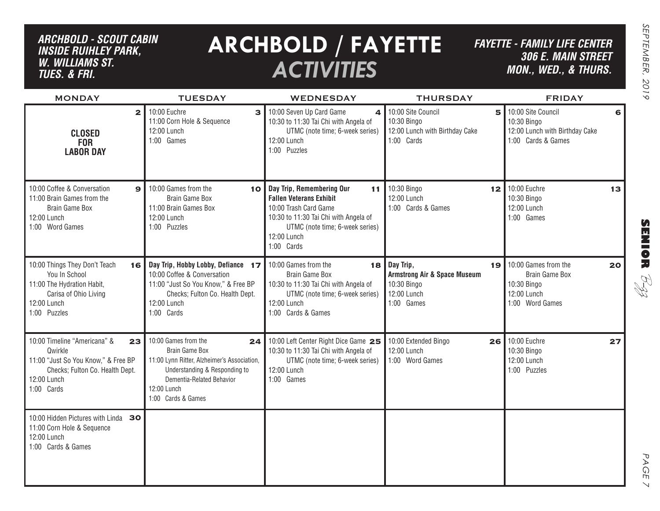## *ARCHBOLD - SCOUT CABIN inside ruihley park, w. williams st. tues. & FRI.*

# **ARCHBOLD / FAYETTE** *ACTIVITIES*

*FAYETTE - FAMILY LIFE CENTER306 E. Main Street MON., Wed., & THURS.*

| <b>MONDAY</b>                                                                                                                                        | <b>TUESDAY</b>                                                                                                                                                                                        | <b>WEDNESDAY</b>                                                                                                                                                                                    | <b>THURSDAY</b>                                                                                             | <b>FRIDAY</b>                                                                                  |
|------------------------------------------------------------------------------------------------------------------------------------------------------|-------------------------------------------------------------------------------------------------------------------------------------------------------------------------------------------------------|-----------------------------------------------------------------------------------------------------------------------------------------------------------------------------------------------------|-------------------------------------------------------------------------------------------------------------|------------------------------------------------------------------------------------------------|
| $\overline{\mathbf{2}}$<br><b>CLOSED</b><br><b>FOR</b><br><b>LABOR DAY</b>                                                                           | 10:00 Euchre<br>$\mathbf{B}$<br>11:00 Corn Hole & Sequence<br>12:00 Lunch<br>1:00 Games                                                                                                               | 10:00 Seven Up Card Game<br>$\mathbf{A}$<br>10:30 to 11:30 Tai Chi with Angela of<br>UTMC (note time; 6-week series)<br>12:00 Lunch<br>1:00 Puzzles                                                 | 10:00 Site Council<br>5<br>10:30 Bingo<br>12:00 Lunch with Birthday Cake<br>1:00 Cards                      | 10:00 Site Council<br>6<br>10:30 Bingo<br>12:00 Lunch with Birthday Cake<br>1:00 Cards & Games |
| 10:00 Coffee & Conversation<br>$\mathbf{9}$<br>11:00 Brain Games from the<br><b>Brain Game Box</b><br>12:00 Lunch<br>1:00 Word Games                 | 10:00 Games from the<br>10<br>Brain Game Box<br>11:00 Brain Games Box<br>12:00 Lunch<br>1:00 Puzzles                                                                                                  | Day Trip, Remembering Our<br>11<br><b>Fallen Veterans Exhibit</b><br>10:00 Trash Card Game<br>10:30 to 11:30 Tai Chi with Angela of<br>UTMC (note time; 6-week series)<br>12:00 Lunch<br>1:00 Cards | 10:30 Bingo<br>12<br>12:00 Lunch<br>1:00 Cards & Games                                                      | 10:00 Euchre<br>13<br>10:30 Bingo<br>12:00 Lunch<br>1:00 Games                                 |
| 10:00 Things They Don't Teach<br>16<br>You In School<br>11:00 The Hydration Habit,<br>Carisa of Ohio Living<br>12:00 Lunch<br>1:00 Puzzles           | Day Trip, Hobby Lobby, Defiance 17<br>10:00 Coffee & Conversation<br>11:00 "Just So You Know," & Free BP<br>Checks; Fulton Co. Health Dept.<br>12:00 Lunch<br>1:00 Cards                              | 10:00 Games from the<br>Brain Game Box<br>10:30 to 11:30 Tai Chi with Angela of<br>UTMC (note time; 6-week series)<br>12:00 Lunch<br>1:00 Cards & Games                                             | $18$ Day Trip,<br>19<br><b>Armstrong Air &amp; Space Museum</b><br>10:30 Bingo<br>12:00 Lunch<br>1:00 Games | 10:00 Games from the<br>20<br>Brain Game Box<br>10:30 Bingo<br>12:00 Lunch<br>1:00 Word Games  |
| 10:00 Timeline "Americana" &<br>23<br>Qwirkle<br>11:00 "Just So You Know," & Free BP<br>Checks; Fulton Co. Health Dept.<br>12:00 Lunch<br>1:00 Cards | 10:00 Games from the<br>24<br><b>Brain Game Box</b><br>11:00 Lynn Ritter, Alzheimer's Association,<br>Understanding & Responding to<br>Dementia-Related Behavior<br>12:00 Lunch<br>1:00 Cards & Games | 10:00 Left Center Right Dice Game 25<br>10:30 to 11:30 Tai Chi with Angela of<br>UTMC (note time; 6-week series)<br>12:00 Lunch<br>1:00 Games                                                       | 10:00 Extended Bingo<br>26<br>12:00 Lunch<br>1:00 Word Games                                                | 10:00 Euchre<br>27<br>10:30 Bingo<br>12:00 Lunch<br>1:00 Puzzles                               |
| 10:00 Hidden Pictures with Linda 30<br>11:00 Corn Hole & Sequence<br>12:00 Lunch<br>1:00 Cards & Games                                               |                                                                                                                                                                                                       |                                                                                                                                                                                                     |                                                                                                             |                                                                                                |

**SENIOR** B-zz

> PAGE PAGE 7  $\vee$